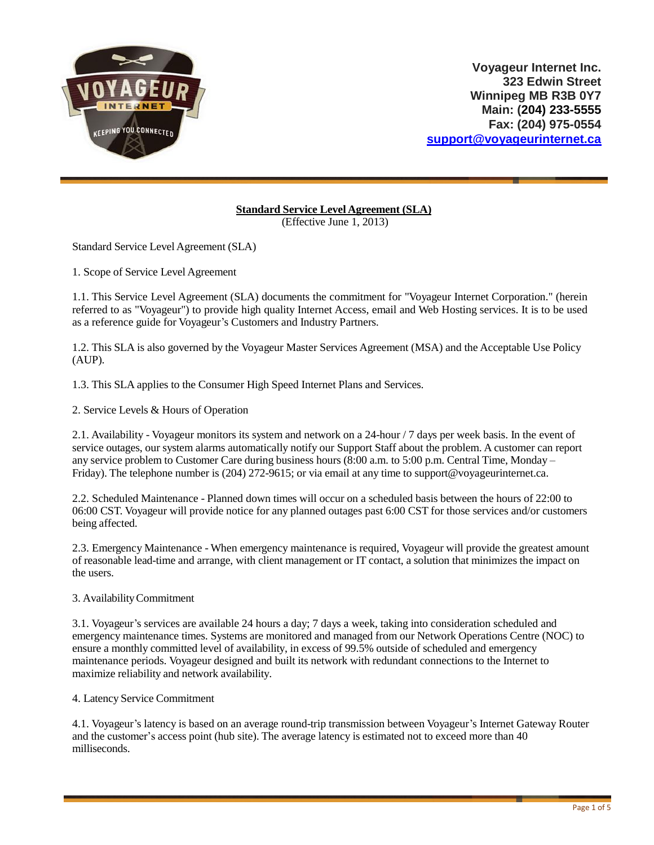

# **Standard Service Level Agreement (SLA)**

(Effective June 1, 2013)

Standard Service Level Agreement (SLA)

1. Scope of Service Level Agreement

1.1. This Service Level Agreement (SLA) documents the commitment for "Voyageur Internet Corporation." (herein referred to as "Voyageur") to provide high quality Internet Access, email and Web Hosting services. It is to be used as a reference guide for Voyageur's Customers and Industry Partners.

1.2. This SLA is also governed by the Voyageur Master Services Agreement (MSA) and the Acceptable Use Policy (AUP).

1.3. This SLA applies to the Consumer High Speed Internet Plans and Services.

2. Service Levels & Hours of Operation

2.1. Availability - Voyageur monitors its system and network on a 24-hour / 7 days per week basis. In the event of service outages, our system alarms automatically notify our Support Staff about the problem. A customer can report any service problem to Customer Care during business hours (8:00 a.m. to 5:00 p.m. Central Time, Monday – Friday). The telephone number is (204) 272-9615; or via email at any time to [support@voyageurinternet.ca.](mailto:support@voyageurinternet.ca)

2.2. Scheduled Maintenance - Planned down times will occur on a scheduled basis between the hours of 22:00 to 06:00 CST. Voyageur will provide notice for any planned outages past 6:00 CST for those services and/or customers being affected.

2.3. Emergency Maintenance - When emergency maintenance is required, Voyageur will provide the greatest amount of reasonable lead-time and arrange, with client management or IT contact, a solution that minimizes the impact on the users.

#### 3. AvailabilityCommitment

3.1. Voyageur's services are available 24 hours a day; 7 days a week, taking into consideration scheduled and emergency maintenance times. Systems are monitored and managed from our Network Operations Centre (NOC) to ensure a monthly committed level of availability, in excess of 99.5% outside of scheduled and emergency maintenance periods. Voyageur designed and built its network with redundant connections to the Internet to maximize reliability and network availability.

4. Latency Service Commitment

4.1. Voyageur's latency is based on an average round-trip transmission between Voyageur's Internet Gateway Router and the customer's access point (hub site). The average latency is estimated not to exceed more than 40 milliseconds.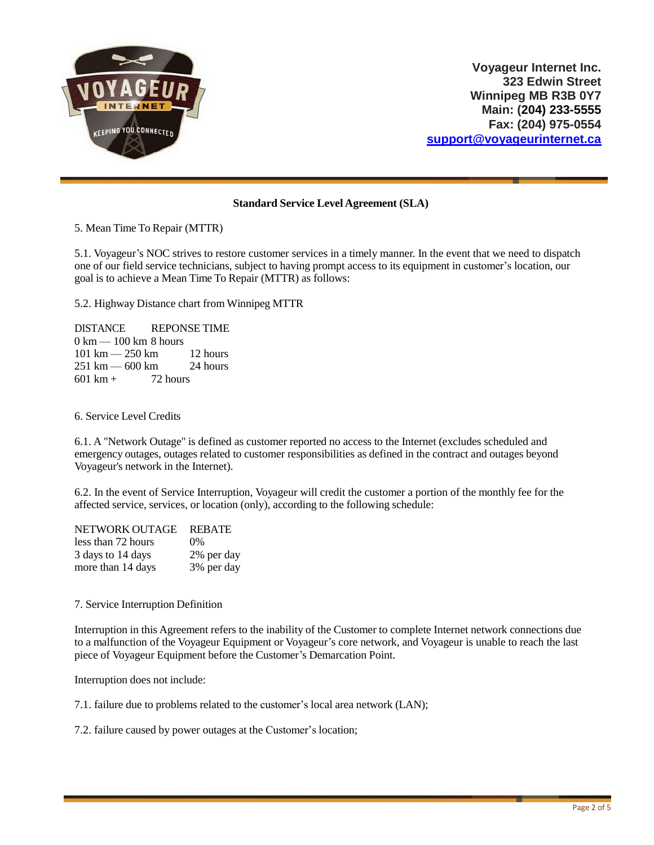

# **Standard Service Level Agreement (SLA)**

5. Mean Time To Repair (MTTR)

5.1. Voyageur's NOC strives to restore customer services in a timely manner. In the event that we need to dispatch one of our field service technicians, subject to having prompt access to its equipment in customer's location, our goal is to achieve a Mean Time To Repair (MTTR) as follows:

5.2. Highway Distance chart from Winnipeg MTTR

DISTANCE REPONSE TIME 0 km — 100 km 8 hours 101 km — 250 km 12 hours 251 km — 600 km 24 hours  $601 \text{ km} + 72 \text{ hours}$ 

6. Service Level Credits

6.1. A "Network Outage" is defined as customer reported no access to the Internet (excludes scheduled and emergency outages, outages related to customer responsibilities as defined in the contract and outages beyond Voyageur's network in the Internet).

6.2. In the event of Service Interruption, Voyageur will credit the customer a portion of the monthly fee for the affected service, services, or location (only), according to the following schedule:

| NETWORK OUTAGE     | <b>REBATE</b> |
|--------------------|---------------|
| less than 72 hours | $0\%$         |
| 3 days to 14 days  | 2% per day    |
| more than 14 days  | 3% per day    |

7. Service Interruption Definition

Interruption in this Agreement refers to the inability of the Customer to complete Internet network connections due to a malfunction of the Voyageur Equipment or Voyageur's core network, and Voyageur is unable to reach the last piece of Voyageur Equipment before the Customer's Demarcation Point.

Interruption does not include:

7.1. failure due to problems related to the customer's local area network (LAN);

7.2. failure caused by power outages at the Customer's location;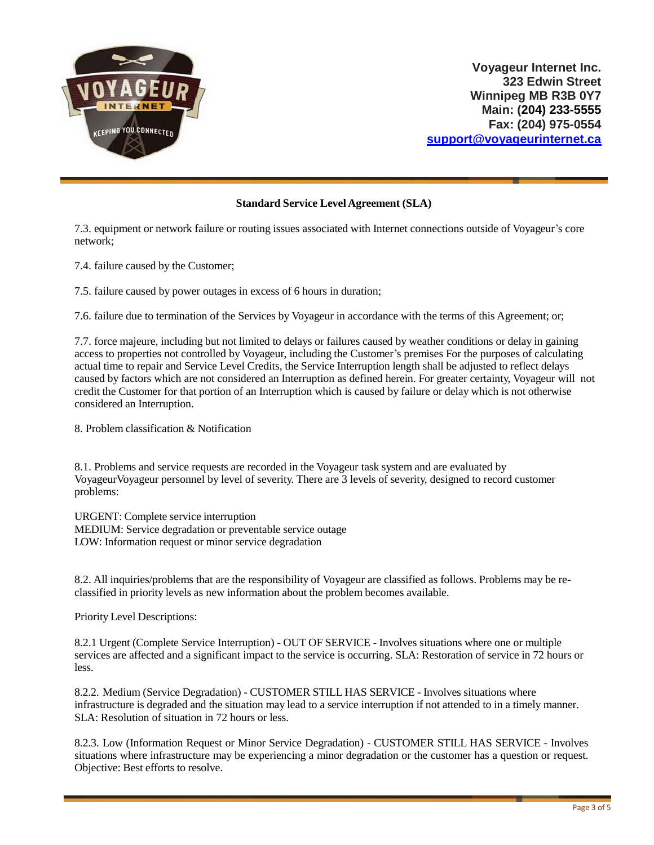

### **Standard Service Level Agreement (SLA)**

7.3. equipment or network failure or routing issues associated with Internet connections outside of Voyageur's core network;

7.4. failure caused by the Customer;

7.5. failure caused by power outages in excess of 6 hours in duration;

7.6. failure due to termination of the Services by Voyageur in accordance with the terms of this Agreement; or;

7.7. force majeure, including but not limited to delays or failures caused by weather conditions or delay in gaining access to properties not controlled by Voyageur, including the Customer's premises For the purposes of calculating actual time to repair and Service Level Credits, the Service Interruption length shall be adjusted to reflect delays caused by factors which are not considered an Interruption as defined herein. For greater certainty, Voyageur will not credit the Customer for that portion of an Interruption which is caused by failure or delay which is not otherwise considered an Interruption.

8. Problem classification & Notification

8.1. Problems and service requests are recorded in the Voyageur task system and are evaluated by Voyageur Voyageur personnel by level of severity. There are 3 levels of severity, designed to record customer problems:

URGENT: Complete service interruption MEDIUM: Service degradation or preventable service outage LOW: Information request or minor service degradation

8.2. All inquiries/problems that are the responsibility of Voyageur are classified as follows. Problems may be reclassified in priority levels as new information about the problem becomes available.

Priority Level Descriptions:

8.2.1 Urgent (Complete Service Interruption) - OUT OF SERVICE - Involves situations where one or multiple services are affected and a significant impact to the service is occurring. SLA: Restoration of service in 72 hours or less.

8.2.2. Medium (Service Degradation) - CUSTOMER STILL HAS SERVICE - Involves situations where infrastructure is degraded and the situation may lead to a service interruption if not attended to in a timely manner. SLA: Resolution of situation in 72 hours or less.

8.2.3. Low (Information Request or Minor Service Degradation) - CUSTOMER STILL HAS SERVICE - Involves situations where infrastructure may be experiencing a minor degradation or the customer has a question or request. Objective: Best efforts to resolve.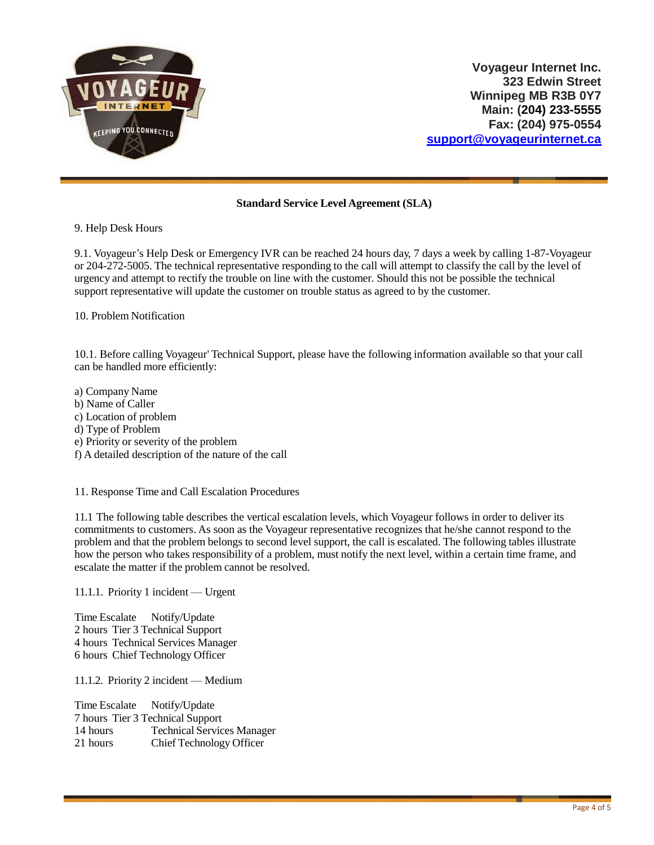

# **Standard Service Level Agreement (SLA)**

9. Help Desk Hours

9.1. Voyageur's Help Desk or Emergency IVR can be reached 24 hours day, 7 days a week by calling 1-87-Voyageur or 204-272-5005. The technical representative responding to the call will attempt to classify the call by the level of urgency and attempt to rectify the trouble on line with the customer. Should this not be possible the technical support representative will update the customer on trouble status as agreed to by the customer.

10. Problem Notification

10.1. Before calling Voyageur' Technical Support, please have the following information available so that your call can be handled more efficiently:

a) Company Name b) Name of Caller c) Location of problem

- d) Type of Problem
- e) Priority or severity of the problem
- f) A detailed description of the nature of the call

11. Response Time and Call Escalation Procedures

11.1 The following table describes the vertical escalation levels, which Voyageur follows in order to deliver its commitments to customers. As soon as the Voyageur representative recognizes that he/she cannot respond to the problem and that the problem belongs to second level support, the call is escalated. The following tables illustrate how the person who takes responsibility of a problem, must notify the next level, within a certain time frame, and escalate the matter if the problem cannot be resolved.

11.1.1. Priority 1 incident — Urgent

Time Escalate Notify/Update hours Tier 3 Technical Support hours Technical Services Manager hours Chief Technology Officer

11.1.2. Priority 2 incident — Medium

Time Escalate Notify/Update hours Tier 3 Technical Support hours Technical Services Manager hours Chief Technology Officer